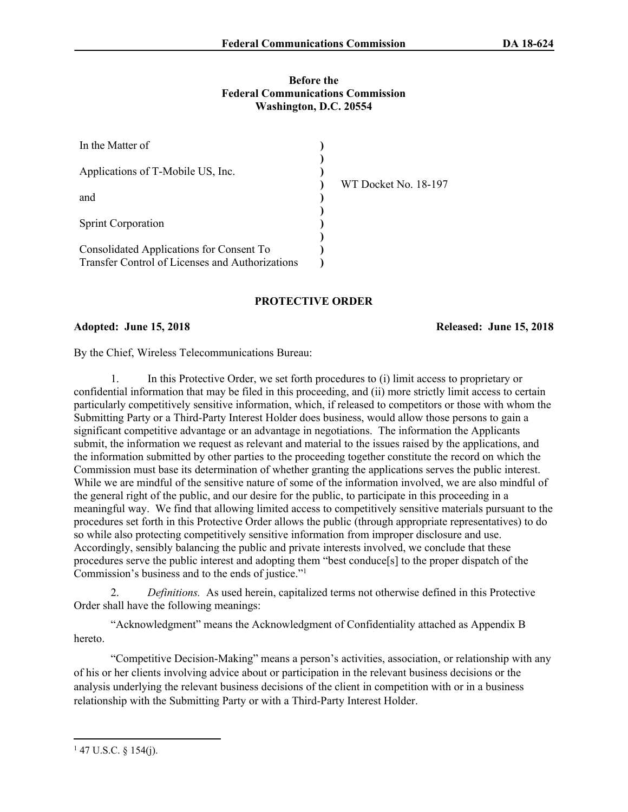### **Before the Federal Communications Commission Washington, D.C. 20554**

| In the Matter of                                                                            |                      |  |
|---------------------------------------------------------------------------------------------|----------------------|--|
| Applications of T-Mobile US, Inc.                                                           | WT Docket No. 18-197 |  |
| and                                                                                         |                      |  |
| <b>Sprint Corporation</b>                                                                   |                      |  |
| Consolidated Applications for Consent To<br>Transfer Control of Licenses and Authorizations |                      |  |

# **PROTECTIVE ORDER**

## **Adopted: June 15, 2018 Released: June 15, 2018**

By the Chief, Wireless Telecommunications Bureau:

1. In this Protective Order, we set forth procedures to (i) limit access to proprietary or confidential information that may be filed in this proceeding, and (ii) more strictly limit access to certain particularly competitively sensitive information, which, if released to competitors or those with whom the Submitting Party or a Third-Party Interest Holder does business, would allow those persons to gain a significant competitive advantage or an advantage in negotiations. The information the Applicants submit, the information we request as relevant and material to the issues raised by the applications, and the information submitted by other parties to the proceeding together constitute the record on which the Commission must base its determination of whether granting the applications serves the public interest. While we are mindful of the sensitive nature of some of the information involved, we are also mindful of the general right of the public, and our desire for the public, to participate in this proceeding in a meaningful way. We find that allowing limited access to competitively sensitive materials pursuant to the procedures set forth in this Protective Order allows the public (through appropriate representatives) to do so while also protecting competitively sensitive information from improper disclosure and use. Accordingly, sensibly balancing the public and private interests involved, we conclude that these procedures serve the public interest and adopting them "best conduce[s] to the proper dispatch of the Commission's business and to the ends of justice."<sup>1</sup>

2. *Definitions.* As used herein, capitalized terms not otherwise defined in this Protective Order shall have the following meanings:

"Acknowledgment" means the Acknowledgment of Confidentiality attached as Appendix B hereto.

"Competitive Decision-Making" means a person's activities, association, or relationship with any of his or her clients involving advice about or participation in the relevant business decisions or the analysis underlying the relevant business decisions of the client in competition with or in a business relationship with the Submitting Party or with a Third-Party Interest Holder.

 $147$  U.S.C. § 154(j).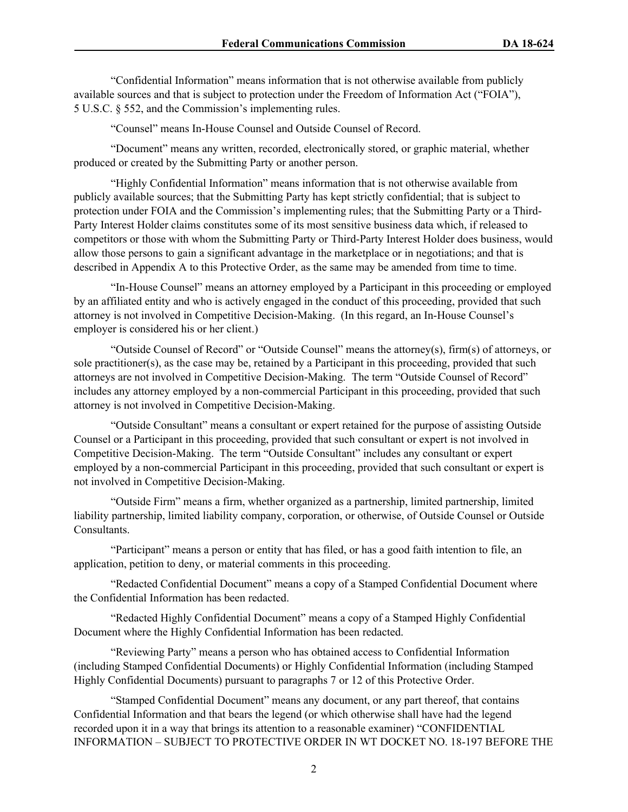"Confidential Information" means information that is not otherwise available from publicly available sources and that is subject to protection under the Freedom of Information Act ("FOIA"), 5 U.S.C. § 552, and the Commission's implementing rules.

"Counsel" means In-House Counsel and Outside Counsel of Record.

"Document" means any written, recorded, electronically stored, or graphic material, whether produced or created by the Submitting Party or another person.

"Highly Confidential Information" means information that is not otherwise available from publicly available sources; that the Submitting Party has kept strictly confidential; that is subject to protection under FOIA and the Commission's implementing rules; that the Submitting Party or a Third-Party Interest Holder claims constitutes some of its most sensitive business data which, if released to competitors or those with whom the Submitting Party or Third-Party Interest Holder does business, would allow those persons to gain a significant advantage in the marketplace or in negotiations; and that is described in Appendix A to this Protective Order, as the same may be amended from time to time.

"In-House Counsel" means an attorney employed by a Participant in this proceeding or employed by an affiliated entity and who is actively engaged in the conduct of this proceeding, provided that such attorney is not involved in Competitive Decision-Making. (In this regard, an In-House Counsel's employer is considered his or her client.)

"Outside Counsel of Record" or "Outside Counsel" means the attorney(s), firm(s) of attorneys, or sole practitioner(s), as the case may be, retained by a Participant in this proceeding, provided that such attorneys are not involved in Competitive Decision-Making. The term "Outside Counsel of Record" includes any attorney employed by a non-commercial Participant in this proceeding, provided that such attorney is not involved in Competitive Decision-Making.

"Outside Consultant" means a consultant or expert retained for the purpose of assisting Outside Counsel or a Participant in this proceeding, provided that such consultant or expert is not involved in Competitive Decision-Making. The term "Outside Consultant" includes any consultant or expert employed by a non-commercial Participant in this proceeding, provided that such consultant or expert is not involved in Competitive Decision-Making.

"Outside Firm" means a firm, whether organized as a partnership, limited partnership, limited liability partnership, limited liability company, corporation, or otherwise, of Outside Counsel or Outside Consultants.

"Participant" means a person or entity that has filed, or has a good faith intention to file, an application, petition to deny, or material comments in this proceeding.

"Redacted Confidential Document" means a copy of a Stamped Confidential Document where the Confidential Information has been redacted.

"Redacted Highly Confidential Document" means a copy of a Stamped Highly Confidential Document where the Highly Confidential Information has been redacted.

"Reviewing Party" means a person who has obtained access to Confidential Information (including Stamped Confidential Documents) or Highly Confidential Information (including Stamped Highly Confidential Documents) pursuant to paragraphs [7](#page-3-0) or [12](#page-5-0) of this Protective Order.

"Stamped Confidential Document" means any document, or any part thereof, that contains Confidential Information and that bears the legend (or which otherwise shall have had the legend recorded upon it in a way that brings its attention to a reasonable examiner) "CONFIDENTIAL INFORMATION – SUBJECT TO PROTECTIVE ORDER IN WT DOCKET NO. 18-197 BEFORE THE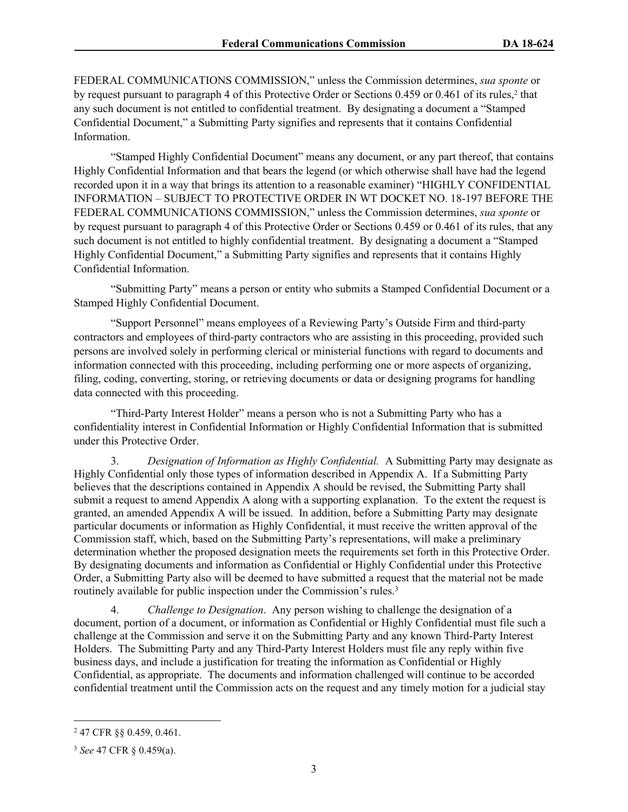FEDERAL COMMUNICATIONS COMMISSION," unless the Commission determines, *sua sponte* or by request pursuant to paragraph [4](#page-2-0) of this Protective Order or Sections 0.459 or 0.461 of its rules,<sup>2</sup> that any such document is not entitled to confidential treatment. By designating a document a "Stamped Confidential Document," a Submitting Party signifies and represents that it contains Confidential Information.

"Stamped Highly Confidential Document" means any document, or any part thereof, that contains Highly Confidential Information and that bears the legend (or which otherwise shall have had the legend recorded upon it in a way that brings its attention to a reasonable examiner) "HIGHLY CONFIDENTIAL INFORMATION – SUBJECT TO PROTECTIVE ORDER IN WT DOCKET NO. 18-197 BEFORE THE FEDERAL COMMUNICATIONS COMMISSION," unless the Commission determines, *sua sponte* or by request pursuant to paragraph [4](#page-2-0) of this Protective Order or Sections 0.459 or 0.461 of its rules, that any such document is not entitled to highly confidential treatment. By designating a document a "Stamped Highly Confidential Document," a Submitting Party signifies and represents that it contains Highly Confidential Information.

"Submitting Party" means a person or entity who submits a Stamped Confidential Document or a Stamped Highly Confidential Document.

"Support Personnel" means employees of a Reviewing Party's Outside Firm and third-party contractors and employees of third-party contractors who are assisting in this proceeding, provided such persons are involved solely in performing clerical or ministerial functions with regard to documents and information connected with this proceeding, including performing one or more aspects of organizing, filing, coding, converting, storing, or retrieving documents or data or designing programs for handling data connected with this proceeding.

"Third-Party Interest Holder" means a person who is not a Submitting Party who has a confidentiality interest in Confidential Information or Highly Confidential Information that is submitted under this Protective Order.

<span id="page-2-1"></span>3. *Designation of Information as Highly Confidential.* A Submitting Party may designate as Highly Confidential only those types of information described in Appendix A. If a Submitting Party believes that the descriptions contained in Appendix A should be revised, the Submitting Party shall submit a request to amend Appendix A along with a supporting explanation. To the extent the request is granted, an amended Appendix A will be issued. In addition, before a Submitting Party may designate particular documents or information as Highly Confidential, it must receive the written approval of the Commission staff, which, based on the Submitting Party's representations, will make a preliminary determination whether the proposed designation meets the requirements set forth in this Protective Order. By designating documents and information as Confidential or Highly Confidential under this Protective Order, a Submitting Party also will be deemed to have submitted a request that the material not be made routinely available for public inspection under the Commission's rules.<sup>3</sup>

<span id="page-2-0"></span>4. *Challenge to Designation*. Any person wishing to challenge the designation of a document, portion of a document, or information as Confidential or Highly Confidential must file such a challenge at the Commission and serve it on the Submitting Party and any known Third-Party Interest Holders. The Submitting Party and any Third-Party Interest Holders must file any reply within five business days, and include a justification for treating the information as Confidential or Highly Confidential, as appropriate. The documents and information challenged will continue to be accorded confidential treatment until the Commission acts on the request and any timely motion for a judicial stay

<sup>2</sup> 47 CFR §§ 0.459, 0.461.

<sup>3</sup> *See* 47 CFR § 0.459(a).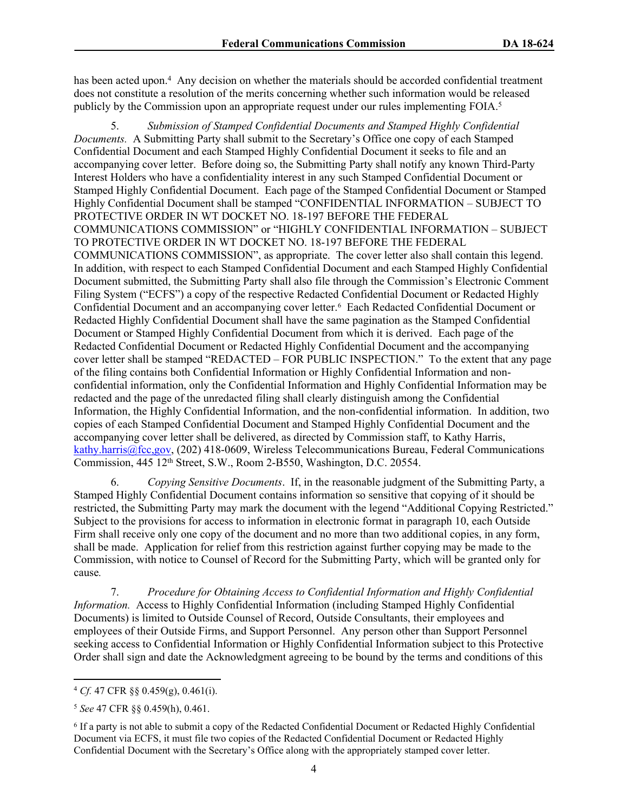has been acted upon.<sup>4</sup> Any decision on whether the materials should be accorded confidential treatment does not constitute a resolution of the merits concerning whether such information would be released publicly by the Commission upon an appropriate request under our rules implementing FOIA.<sup>5</sup>

5. *Submission of Stamped Confidential Documents and Stamped Highly Confidential Documents.* A Submitting Party shall submit to the Secretary's Office one copy of each Stamped Confidential Document and each Stamped Highly Confidential Document it seeks to file and an accompanying cover letter. Before doing so, the Submitting Party shall notify any known Third-Party Interest Holders who have a confidentiality interest in any such Stamped Confidential Document or Stamped Highly Confidential Document. Each page of the Stamped Confidential Document or Stamped Highly Confidential Document shall be stamped "CONFIDENTIAL INFORMATION – SUBJECT TO PROTECTIVE ORDER IN WT DOCKET NO. 18-197 BEFORE THE FEDERAL COMMUNICATIONS COMMISSION" or "HIGHLY CONFIDENTIAL INFORMATION – SUBJECT TO PROTECTIVE ORDER IN WT DOCKET NO. 18-197 BEFORE THE FEDERAL COMMUNICATIONS COMMISSION", as appropriate. The cover letter also shall contain this legend. In addition, with respect to each Stamped Confidential Document and each Stamped Highly Confidential Document submitted, the Submitting Party shall also file through the Commission's Electronic Comment Filing System ("ECFS") a copy of the respective Redacted Confidential Document or Redacted Highly Confidential Document and an accompanying cover letter.<sup>6</sup> Each Redacted Confidential Document or Redacted Highly Confidential Document shall have the same pagination as the Stamped Confidential Document or Stamped Highly Confidential Document from which it is derived. Each page of the Redacted Confidential Document or Redacted Highly Confidential Document and the accompanying cover letter shall be stamped "REDACTED – FOR PUBLIC INSPECTION." To the extent that any page of the filing contains both Confidential Information or Highly Confidential Information and nonconfidential information, only the Confidential Information and Highly Confidential Information may be redacted and the page of the unredacted filing shall clearly distinguish among the Confidential Information, the Highly Confidential Information, and the non-confidential information. In addition, two copies of each Stamped Confidential Document and Stamped Highly Confidential Document and the accompanying cover letter shall be delivered, as directed by Commission staff, to Kathy Harris, [kathy.harris@fcc,gov,](mailto:kathy.harris@fcc,gov) (202) 418-0609, Wireless Telecommunications Bureau, Federal Communications Commission, 445 12th Street, S.W., Room 2-B550, Washington, D.C. 20554.

<span id="page-3-1"></span>6. *Copying Sensitive Documents*. If, in the reasonable judgment of the Submitting Party, a Stamped Highly Confidential Document contains information so sensitive that copying of it should be restricted, the Submitting Party may mark the document with the legend "Additional Copying Restricted." Subject to the provisions for access to information in electronic format in paragraph [10,](#page-5-1) each Outside Firm shall receive only one copy of the document and no more than two additional copies, in any form, shall be made. Application for relief from this restriction against further copying may be made to the Commission, with notice to Counsel of Record for the Submitting Party, which will be granted only for cause*.*

<span id="page-3-0"></span>7. *Procedure for Obtaining Access to Confidential Information and Highly Confidential Information.* Access to Highly Confidential Information (including Stamped Highly Confidential Documents) is limited to Outside Counsel of Record, Outside Consultants, their employees and employees of their Outside Firms, and Support Personnel. Any person other than Support Personnel seeking access to Confidential Information or Highly Confidential Information subject to this Protective Order shall sign and date the Acknowledgment agreeing to be bound by the terms and conditions of this

<sup>4</sup> *Cf.* 47 CFR §§ 0.459(g), 0.461(i).

<sup>5</sup> *See* 47 CFR §§ 0.459(h), 0.461.

<sup>6</sup> If a party is not able to submit a copy of the Redacted Confidential Document or Redacted Highly Confidential Document via ECFS, it must file two copies of the Redacted Confidential Document or Redacted Highly Confidential Document with the Secretary's Office along with the appropriately stamped cover letter.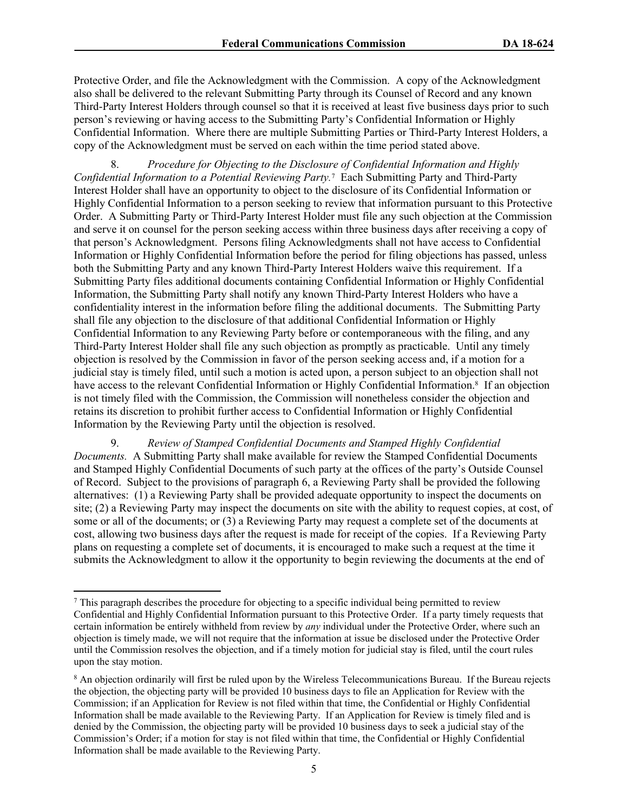Protective Order, and file the Acknowledgment with the Commission. A copy of the Acknowledgment also shall be delivered to the relevant Submitting Party through its Counsel of Record and any known Third-Party Interest Holders through counsel so that it is received at least five business days prior to such person's reviewing or having access to the Submitting Party's Confidential Information or Highly Confidential Information. Where there are multiple Submitting Parties or Third-Party Interest Holders, a copy of the Acknowledgment must be served on each within the time period stated above.

8. *Procedure for Objecting to the Disclosure of Confidential Information and Highly Confidential Information to a Potential Reviewing Party.*<sup>7</sup> Each Submitting Party and Third-Party Interest Holder shall have an opportunity to object to the disclosure of its Confidential Information or Highly Confidential Information to a person seeking to review that information pursuant to this Protective Order. A Submitting Party or Third-Party Interest Holder must file any such objection at the Commission and serve it on counsel for the person seeking access within three business days after receiving a copy of that person's Acknowledgment. Persons filing Acknowledgments shall not have access to Confidential Information or Highly Confidential Information before the period for filing objections has passed, unless both the Submitting Party and any known Third-Party Interest Holders waive this requirement. If a Submitting Party files additional documents containing Confidential Information or Highly Confidential Information, the Submitting Party shall notify any known Third-Party Interest Holders who have a confidentiality interest in the information before filing the additional documents. The Submitting Party shall file any objection to the disclosure of that additional Confidential Information or Highly Confidential Information to any Reviewing Party before or contemporaneous with the filing, and any Third-Party Interest Holder shall file any such objection as promptly as practicable. Until any timely objection is resolved by the Commission in favor of the person seeking access and, if a motion for a judicial stay is timely filed, until such a motion is acted upon, a person subject to an objection shall not have access to the relevant Confidential Information or Highly Confidential Information.<sup>8</sup> If an objection is not timely filed with the Commission, the Commission will nonetheless consider the objection and retains its discretion to prohibit further access to Confidential Information or Highly Confidential Information by the Reviewing Party until the objection is resolved.

9. *Review of Stamped Confidential Documents and Stamped Highly Confidential Documents.* A Submitting Party shall make available for review the Stamped Confidential Documents and Stamped Highly Confidential Documents of such party at the offices of the party's Outside Counsel of Record. Subject to the provisions of paragraph [6,](#page-3-1) a Reviewing Party shall be provided the following alternatives: (1) a Reviewing Party shall be provided adequate opportunity to inspect the documents on site; (2) a Reviewing Party may inspect the documents on site with the ability to request copies, at cost, of some or all of the documents; or (3) a Reviewing Party may request a complete set of the documents at cost, allowing two business days after the request is made for receipt of the copies. If a Reviewing Party plans on requesting a complete set of documents, it is encouraged to make such a request at the time it submits the Acknowledgment to allow it the opportunity to begin reviewing the documents at the end of

 $\frac{7}{7}$  This paragraph describes the procedure for objecting to a specific individual being permitted to review Confidential and Highly Confidential Information pursuant to this Protective Order. If a party timely requests that certain information be entirely withheld from review by *any* individual under the Protective Order, where such an objection is timely made, we will not require that the information at issue be disclosed under the Protective Order until the Commission resolves the objection, and if a timely motion for judicial stay is filed, until the court rules upon the stay motion.

<sup>8</sup> An objection ordinarily will first be ruled upon by the Wireless Telecommunications Bureau. If the Bureau rejects the objection, the objecting party will be provided 10 business days to file an Application for Review with the Commission; if an Application for Review is not filed within that time, the Confidential or Highly Confidential Information shall be made available to the Reviewing Party. If an Application for Review is timely filed and is denied by the Commission, the objecting party will be provided 10 business days to seek a judicial stay of the Commission's Order; if a motion for stay is not filed within that time, the Confidential or Highly Confidential Information shall be made available to the Reviewing Party.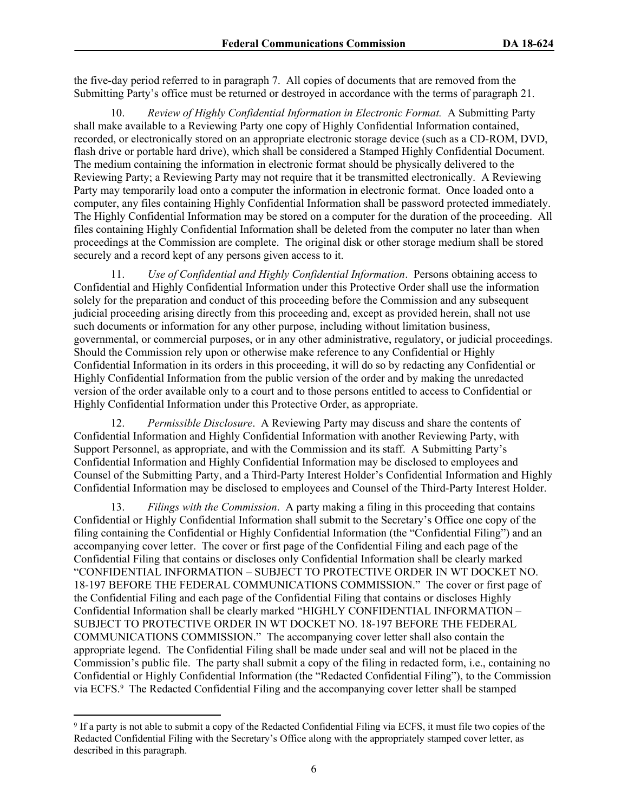the five-day period referred to in paragraph [7.](#page-3-0) All copies of documents that are removed from the Submitting Party's office must be returned or destroyed in accordance with the terms of paragraph [21.](#page-7-0)

<span id="page-5-1"></span>10. *Review of Highly Confidential Information in Electronic Format.* A Submitting Party shall make available to a Reviewing Party one copy of Highly Confidential Information contained, recorded, or electronically stored on an appropriate electronic storage device (such as a CD-ROM, DVD, flash drive or portable hard drive), which shall be considered a Stamped Highly Confidential Document. The medium containing the information in electronic format should be physically delivered to the Reviewing Party; a Reviewing Party may not require that it be transmitted electronically. A Reviewing Party may temporarily load onto a computer the information in electronic format. Once loaded onto a computer, any files containing Highly Confidential Information shall be password protected immediately. The Highly Confidential Information may be stored on a computer for the duration of the proceeding. All files containing Highly Confidential Information shall be deleted from the computer no later than when proceedings at the Commission are complete. The original disk or other storage medium shall be stored securely and a record kept of any persons given access to it.

11. *Use of Confidential and Highly Confidential Information*. Persons obtaining access to Confidential and Highly Confidential Information under this Protective Order shall use the information solely for the preparation and conduct of this proceeding before the Commission and any subsequent judicial proceeding arising directly from this proceeding and, except as provided herein, shall not use such documents or information for any other purpose, including without limitation business, governmental, or commercial purposes, or in any other administrative, regulatory, or judicial proceedings. Should the Commission rely upon or otherwise make reference to any Confidential or Highly Confidential Information in its orders in this proceeding, it will do so by redacting any Confidential or Highly Confidential Information from the public version of the order and by making the unredacted version of the order available only to a court and to those persons entitled to access to Confidential or Highly Confidential Information under this Protective Order, as appropriate.

<span id="page-5-0"></span>12. *Permissible Disclosure*. A Reviewing Party may discuss and share the contents of Confidential Information and Highly Confidential Information with another Reviewing Party, with Support Personnel, as appropriate, and with the Commission and its staff. A Submitting Party's Confidential Information and Highly Confidential Information may be disclosed to employees and Counsel of the Submitting Party, and a Third-Party Interest Holder's Confidential Information and Highly Confidential Information may be disclosed to employees and Counsel of the Third-Party Interest Holder.

13. *Filings with the Commission*. A party making a filing in this proceeding that contains Confidential or Highly Confidential Information shall submit to the Secretary's Office one copy of the filing containing the Confidential or Highly Confidential Information (the "Confidential Filing") and an accompanying cover letter. The cover or first page of the Confidential Filing and each page of the Confidential Filing that contains or discloses only Confidential Information shall be clearly marked "CONFIDENTIAL INFORMATION – SUBJECT TO PROTECTIVE ORDER IN WT DOCKET NO. 18-197 BEFORE THE FEDERAL COMMUNICATIONS COMMISSION." The cover or first page of the Confidential Filing and each page of the Confidential Filing that contains or discloses Highly Confidential Information shall be clearly marked "HIGHLY CONFIDENTIAL INFORMATION – SUBJECT TO PROTECTIVE ORDER IN WT DOCKET NO. 18-197 BEFORE THE FEDERAL COMMUNICATIONS COMMISSION." The accompanying cover letter shall also contain the appropriate legend. The Confidential Filing shall be made under seal and will not be placed in the Commission's public file. The party shall submit a copy of the filing in redacted form, i.e., containing no Confidential or Highly Confidential Information (the "Redacted Confidential Filing"), to the Commission via ECFS.<sup>9</sup> The Redacted Confidential Filing and the accompanying cover letter shall be stamped

<sup>9</sup> If a party is not able to submit a copy of the Redacted Confidential Filing via ECFS, it must file two copies of the Redacted Confidential Filing with the Secretary's Office along with the appropriately stamped cover letter, as described in this paragraph.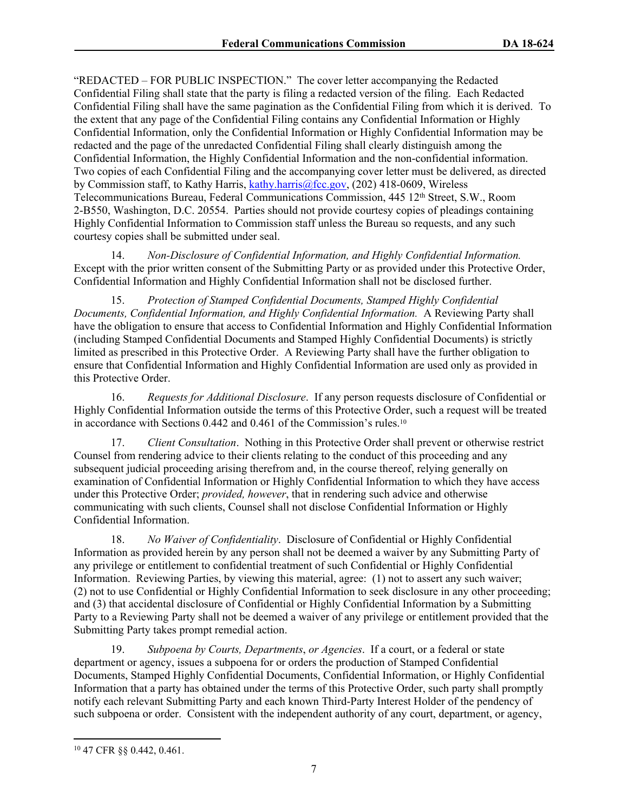"REDACTED – FOR PUBLIC INSPECTION." The cover letter accompanying the Redacted Confidential Filing shall state that the party is filing a redacted version of the filing. Each Redacted Confidential Filing shall have the same pagination as the Confidential Filing from which it is derived. To the extent that any page of the Confidential Filing contains any Confidential Information or Highly Confidential Information, only the Confidential Information or Highly Confidential Information may be redacted and the page of the unredacted Confidential Filing shall clearly distinguish among the Confidential Information, the Highly Confidential Information and the non-confidential information. Two copies of each Confidential Filing and the accompanying cover letter must be delivered, as directed by Commission staff, to Kathy Harris, [kathy.harris@fcc.gov,](mailto:kathy.harris@fcc.gov) (202) 418-0609, Wireless Telecommunications Bureau, Federal Communications Commission, 445 12<sup>th</sup> Street, S.W., Room 2-B550, Washington, D.C. 20554. Parties should not provide courtesy copies of pleadings containing Highly Confidential Information to Commission staff unless the Bureau so requests, and any such courtesy copies shall be submitted under seal.

14. *Non-Disclosure of Confidential Information, and Highly Confidential Information.* Except with the prior written consent of the Submitting Party or as provided under this Protective Order, Confidential Information and Highly Confidential Information shall not be disclosed further.

15. *Protection of Stamped Confidential Documents, Stamped Highly Confidential Documents, Confidential Information, and Highly Confidential Information.* A Reviewing Party shall have the obligation to ensure that access to Confidential Information and Highly Confidential Information (including Stamped Confidential Documents and Stamped Highly Confidential Documents) is strictly limited as prescribed in this Protective Order. A Reviewing Party shall have the further obligation to ensure that Confidential Information and Highly Confidential Information are used only as provided in this Protective Order.

16. *Requests for Additional Disclosure*. If any person requests disclosure of Confidential or Highly Confidential Information outside the terms of this Protective Order, such a request will be treated in accordance with Sections 0.442 and 0.461 of the Commission's rules.<sup>10</sup>

17. *Client Consultation*. Nothing in this Protective Order shall prevent or otherwise restrict Counsel from rendering advice to their clients relating to the conduct of this proceeding and any subsequent judicial proceeding arising therefrom and, in the course thereof, relying generally on examination of Confidential Information or Highly Confidential Information to which they have access under this Protective Order; *provided, however*, that in rendering such advice and otherwise communicating with such clients, Counsel shall not disclose Confidential Information or Highly Confidential Information.

18. *No Waiver of Confidentiality*. Disclosure of Confidential or Highly Confidential Information as provided herein by any person shall not be deemed a waiver by any Submitting Party of any privilege or entitlement to confidential treatment of such Confidential or Highly Confidential Information. Reviewing Parties, by viewing this material, agree: (1) not to assert any such waiver; (2) not to use Confidential or Highly Confidential Information to seek disclosure in any other proceeding; and (3) that accidental disclosure of Confidential or Highly Confidential Information by a Submitting Party to a Reviewing Party shall not be deemed a waiver of any privilege or entitlement provided that the Submitting Party takes prompt remedial action.

19. *Subpoena by Courts, Departments*, *or Agencies*. If a court, or a federal or state department or agency, issues a subpoena for or orders the production of Stamped Confidential Documents, Stamped Highly Confidential Documents, Confidential Information, or Highly Confidential Information that a party has obtained under the terms of this Protective Order, such party shall promptly notify each relevant Submitting Party and each known Third-Party Interest Holder of the pendency of such subpoena or order. Consistent with the independent authority of any court, department, or agency,

<sup>10</sup> 47 CFR §§ 0.442, 0.461.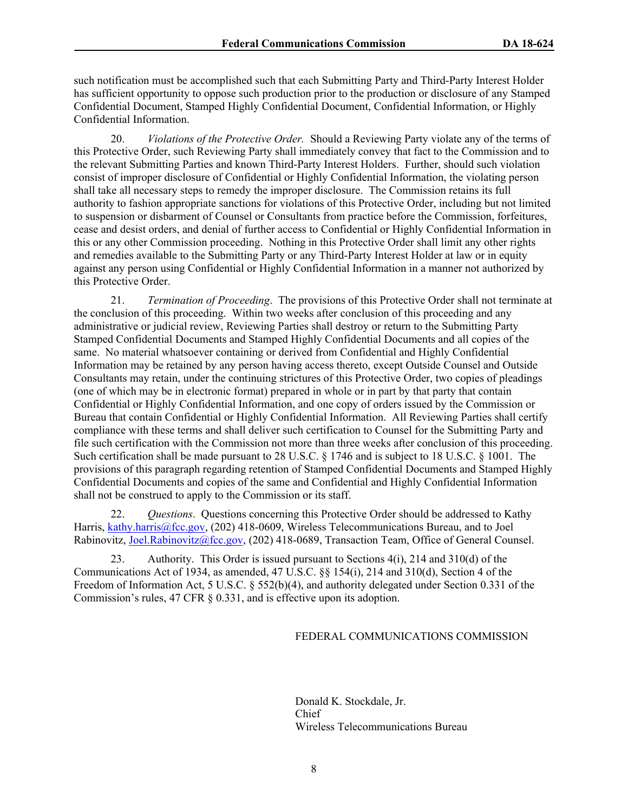such notification must be accomplished such that each Submitting Party and Third-Party Interest Holder has sufficient opportunity to oppose such production prior to the production or disclosure of any Stamped Confidential Document, Stamped Highly Confidential Document, Confidential Information, or Highly Confidential Information.

20. *Violations of the Protective Order.* Should a Reviewing Party violate any of the terms of this Protective Order, such Reviewing Party shall immediately convey that fact to the Commission and to the relevant Submitting Parties and known Third-Party Interest Holders. Further, should such violation consist of improper disclosure of Confidential or Highly Confidential Information, the violating person shall take all necessary steps to remedy the improper disclosure. The Commission retains its full authority to fashion appropriate sanctions for violations of this Protective Order, including but not limited to suspension or disbarment of Counsel or Consultants from practice before the Commission, forfeitures, cease and desist orders, and denial of further access to Confidential or Highly Confidential Information in this or any other Commission proceeding. Nothing in this Protective Order shall limit any other rights and remedies available to the Submitting Party or any Third-Party Interest Holder at law or in equity against any person using Confidential or Highly Confidential Information in a manner not authorized by this Protective Order.

<span id="page-7-0"></span>21. *Termination of Proceeding*. The provisions of this Protective Order shall not terminate at the conclusion of this proceeding. Within two weeks after conclusion of this proceeding and any administrative or judicial review, Reviewing Parties shall destroy or return to the Submitting Party Stamped Confidential Documents and Stamped Highly Confidential Documents and all copies of the same. No material whatsoever containing or derived from Confidential and Highly Confidential Information may be retained by any person having access thereto, except Outside Counsel and Outside Consultants may retain, under the continuing strictures of this Protective Order, two copies of pleadings (one of which may be in electronic format) prepared in whole or in part by that party that contain Confidential or Highly Confidential Information, and one copy of orders issued by the Commission or Bureau that contain Confidential or Highly Confidential Information. All Reviewing Parties shall certify compliance with these terms and shall deliver such certification to Counsel for the Submitting Party and file such certification with the Commission not more than three weeks after conclusion of this proceeding. Such certification shall be made pursuant to 28 U.S.C. § 1746 and is subject to 18 U.S.C. § 1001. The provisions of this paragraph regarding retention of Stamped Confidential Documents and Stamped Highly Confidential Documents and copies of the same and Confidential and Highly Confidential Information shall not be construed to apply to the Commission or its staff.

22. *Questions*. Questions concerning this Protective Order should be addressed to Kathy Harris, [kathy.harris@fcc.gov](mailto:kathy.harris@fcc.gov), (202) 418-0609, Wireless Telecommunications Bureau, and to Joel Rabinovitz, [Joel.Rabinovitz@fcc.gov](mailto:Joel.Rabinovitz@fcc.gov), (202) 418-0689, Transaction Team, Office of General Counsel.

23. Authority. This Order is issued pursuant to Sections 4(i), 214 and 310(d) of the Communications Act of 1934, as amended,  $47 \text{ U.S.C. }$   $\S$   $\S$   $154(i)$ ,  $214$  and  $310(d)$ , Section 4 of the Freedom of Information Act, 5 U.S.C. § 552(b)(4), and authority delegated under Section 0.331 of the Commission's rules, 47 CFR § 0.331, and is effective upon its adoption.

#### FEDERAL COMMUNICATIONS COMMISSION

Donald K. Stockdale, Jr. Chief Wireless Telecommunications Bureau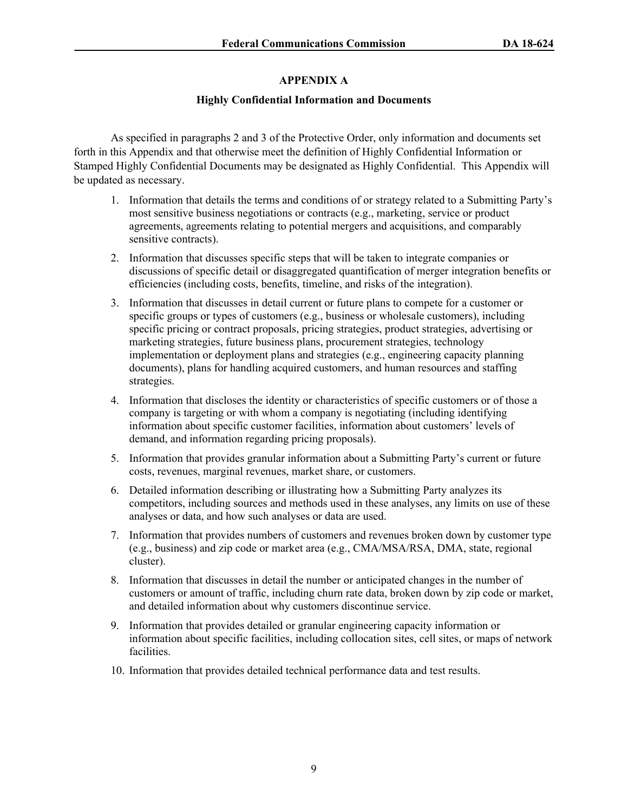# **APPENDIX A**

### **Highly Confidential Information and Documents**

As specified in paragraphs 2 and [3](#page-2-1) of the Protective Order, only information and documents set forth in this Appendix and that otherwise meet the definition of Highly Confidential Information or Stamped Highly Confidential Documents may be designated as Highly Confidential. This Appendix will be updated as necessary.

- 1. Information that details the terms and conditions of or strategy related to a Submitting Party's most sensitive business negotiations or contracts (e.g., marketing, service or product agreements, agreements relating to potential mergers and acquisitions, and comparably sensitive contracts).
- 2. Information that discusses specific steps that will be taken to integrate companies or discussions of specific detail or disaggregated quantification of merger integration benefits or efficiencies (including costs, benefits, timeline, and risks of the integration).
- 3. Information that discusses in detail current or future plans to compete for a customer or specific groups or types of customers (e.g., business or wholesale customers), including specific pricing or contract proposals, pricing strategies, product strategies, advertising or marketing strategies, future business plans, procurement strategies, technology implementation or deployment plans and strategies (e.g., engineering capacity planning documents), plans for handling acquired customers, and human resources and staffing strategies.
- 4. Information that discloses the identity or characteristics of specific customers or of those a company is targeting or with whom a company is negotiating (including identifying information about specific customer facilities, information about customers' levels of demand, and information regarding pricing proposals).
- 5. Information that provides granular information about a Submitting Party's current or future costs, revenues, marginal revenues, market share, or customers.
- 6. Detailed information describing or illustrating how a Submitting Party analyzes its competitors, including sources and methods used in these analyses, any limits on use of these analyses or data, and how such analyses or data are used.
- 7. Information that provides numbers of customers and revenues broken down by customer type (e.g., business) and zip code or market area (e.g., CMA/MSA/RSA, DMA, state, regional cluster).
- 8. Information that discusses in detail the number or anticipated changes in the number of customers or amount of traffic, including churn rate data, broken down by zip code or market, and detailed information about why customers discontinue service.
- 9. Information that provides detailed or granular engineering capacity information or information about specific facilities, including collocation sites, cell sites, or maps of network facilities.
- 10. Information that provides detailed technical performance data and test results.